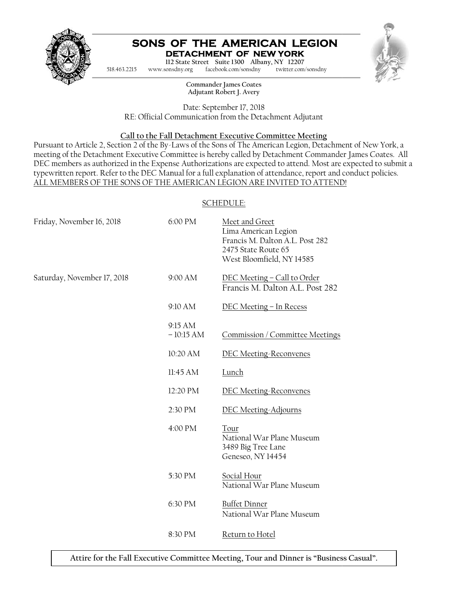

#### **SONS OF THE AMERICAN LEGION DETACHMENT OF NEW YORK**



Pursuant to Article 2, Section 2 of the By-Laws of the Sons of The American Legion, Detachment of New York, a meeting of the Detachment Executive Committee is hereby called by Detachment Commander James Coates. All DEC members as authorized in the Expense Authorizations are expected to attend. Most are expected to submit a typewritten report. Refer to the DEC Manual for a full explanation of attendance, report and conduct policies. ALL MEMBERS OF THE SONS OF THE AMERICAN LEGION ARE INVITED TO ATTEND! achment Executive Committee is hereby called by Detachment Commander James Coates. All<br>the explanation of attendance, conduct and conduct policies.<br>The explanation of attendance, report and conduct policies.<br>F THE SONS OF

#### SCHEDULE:

| 518.463.2215                | www.sonsdny.org        | SONS OF THE AMERICAN LEGION<br>DETACHMENT OF NEW YORK<br>112 State Street Suite 1300 Albany, NY 12207<br>facebook.com/sonsdny<br>twitter.com/sonsdny                                                                                                                                                                                                                                                                                                                                                                                                 |
|-----------------------------|------------------------|------------------------------------------------------------------------------------------------------------------------------------------------------------------------------------------------------------------------------------------------------------------------------------------------------------------------------------------------------------------------------------------------------------------------------------------------------------------------------------------------------------------------------------------------------|
|                             |                        | Commander James Coates<br>Adjutant Robert J. Avery                                                                                                                                                                                                                                                                                                                                                                                                                                                                                                   |
|                             |                        | Date: September 17, 2018                                                                                                                                                                                                                                                                                                                                                                                                                                                                                                                             |
|                             |                        | RE: Official Communication from the Detachment Adjutant                                                                                                                                                                                                                                                                                                                                                                                                                                                                                              |
|                             |                        | Call to the Fall Detachment Executive Committee Meeting<br>Pursuant to Article 2, Section 2 of the By-Laws of the Sons of The American Legion, Detachment of No<br>meeting of the Detachment Executive Committee is hereby called by Detachment Commander James<br>DEC members as authorized in the Expense Authorizations are expected to attend. Most are expecte<br>typewritten report. Refer to the DEC Manual for a full explanation of attendance, report and conduct<br>ALL MEMBERS OF THE SONS OF THE AMERICAN LEGION ARE INVITED TO ATTEND! |
|                             |                        | <b>SCHEDULE:</b>                                                                                                                                                                                                                                                                                                                                                                                                                                                                                                                                     |
| Friday, November 16, 2018   | 6:00 PM                | Meet and Greet<br>Lima American Legion<br>Francis M. Dalton A.L. Post 282<br>2475 State Route 65<br>West Bloomfield, NY 14585                                                                                                                                                                                                                                                                                                                                                                                                                        |
| Saturday, November 17, 2018 | 9:00 AM                | DEC Meeting - Call to Order<br>Francis M. Dalton A.L. Post 282                                                                                                                                                                                                                                                                                                                                                                                                                                                                                       |
|                             | 9:10 AM                | DEC Meeting - In Recess                                                                                                                                                                                                                                                                                                                                                                                                                                                                                                                              |
|                             | 9:15 AM<br>$-10:15 AM$ | Commission / Committee Meetings                                                                                                                                                                                                                                                                                                                                                                                                                                                                                                                      |
|                             | 10:20 AM               | <b>DEC Meeting-Reconvenes</b>                                                                                                                                                                                                                                                                                                                                                                                                                                                                                                                        |
|                             | 11:45 AM               | <u>Lunch</u>                                                                                                                                                                                                                                                                                                                                                                                                                                                                                                                                         |
|                             | 12:20 PM               | <b>DEC Meeting-Reconvenes</b>                                                                                                                                                                                                                                                                                                                                                                                                                                                                                                                        |
|                             | 2:30 PM                | <b>DEC Meeting-Adjourns</b>                                                                                                                                                                                                                                                                                                                                                                                                                                                                                                                          |
|                             | 4:00 PM                | Tour<br>National War Plane Museum<br>3489 Big Tree Lane<br>Geneseo, NY 14454                                                                                                                                                                                                                                                                                                                                                                                                                                                                         |
|                             | 5:30 PM                | <b>Social Hour</b><br>National War Plane Museum                                                                                                                                                                                                                                                                                                                                                                                                                                                                                                      |
|                             | 6:30 PM                | <b>Buffet Dinner</b><br>National War Plane Museum                                                                                                                                                                                                                                                                                                                                                                                                                                                                                                    |
|                             | 8:30 PM                | <u>Return to Hotel</u>                                                                                                                                                                                                                                                                                                                                                                                                                                                                                                                               |

**Attire for the Fall Executive Committee Meeting, Tour and Dinner is "Business Casual". and Dinner**